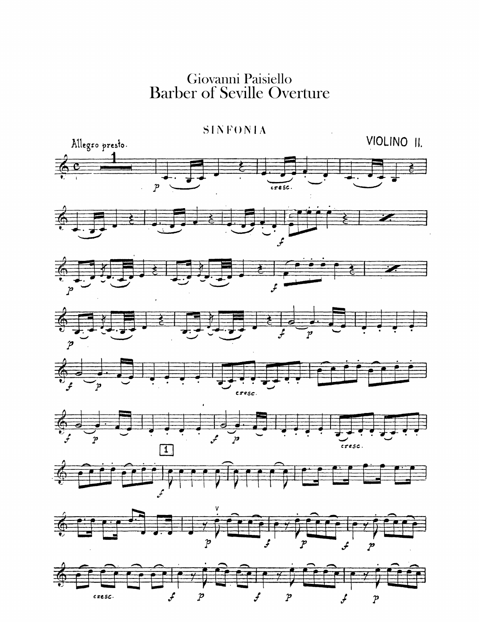Giovanni Paisiello<br>Barber of Seville Overture



 $\boldsymbol{\mathcal{P}}$  $\boldsymbol{\mathcal{P}}$ محمد cresc. ₹  $\boldsymbol{\mathcal{P}}$  $\boldsymbol{f}$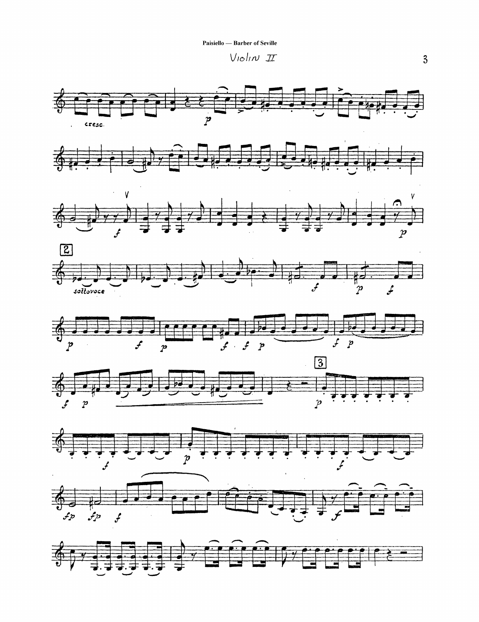Paisiello — Barber of Seville

Violin II



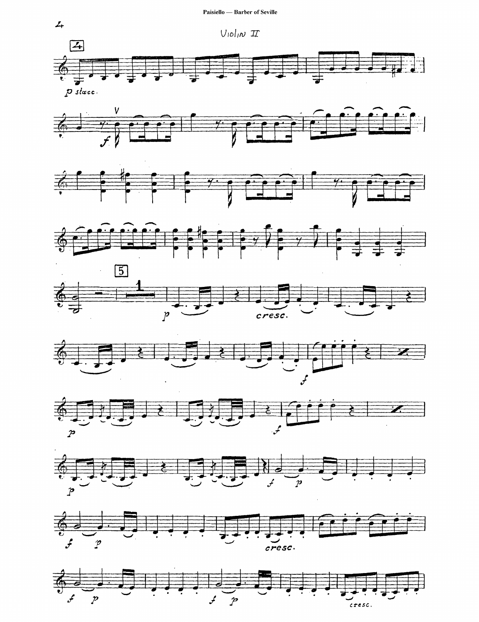



















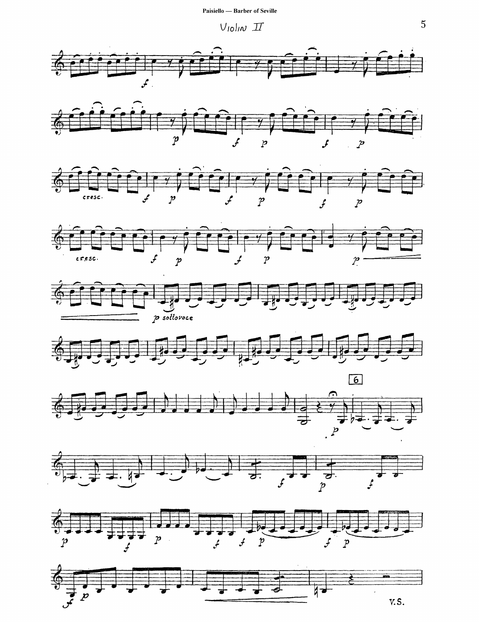$V$ lolin  $I\hspace{-0.1cm}I$